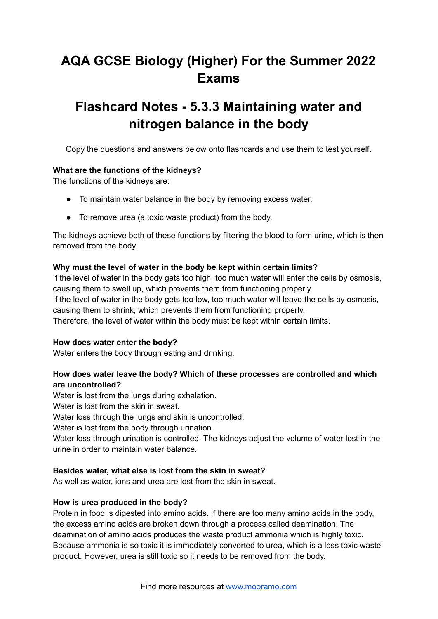# **AQA GCSE Biology (Higher) For the Summer 2022 Exams**

## **Flashcard Notes - 5.3.3 Maintaining water and nitrogen balance in the body**

Copy the questions and answers below onto flashcards and use them to test yourself.

#### **What are the functions of the kidneys?**

The functions of the kidneys are:

- To maintain water balance in the body by removing excess water.
- To remove urea (a toxic waste product) from the body.

The kidneys achieve both of these functions by filtering the blood to form urine, which is then removed from the body.

#### **Why must the level of water in the body be kept within certain limits?**

If the level of water in the body gets too high, too much water will enter the cells by osmosis, causing them to swell up, which prevents them from functioning properly. If the level of water in the body gets too low, too much water will leave the cells by osmosis, causing them to shrink, which prevents them from functioning properly. Therefore, the level of water within the body must be kept within certain limits.

#### **How does water enter the body?**

Water enters the body through eating and drinking.

### **How does water leave the body? Which of these processes are controlled and which are uncontrolled?**

Water is lost from the lungs during exhalation.

Water is lost from the skin in sweat.

Water loss through the lungs and skin is uncontrolled.

Water is lost from the body through urination.

Water loss through urination is controlled. The kidneys adjust the volume of water lost in the urine in order to maintain water balance.

#### **Besides water, what else is lost from the skin in sweat?**

As well as water, ions and urea are lost from the skin in sweat.

#### **How is urea produced in the body?**

Protein in food is digested into amino acids. If there are too many amino acids in the body, the excess amino acids are broken down through a process called deamination. The deamination of amino acids produces the waste product ammonia which is highly toxic. Because ammonia is so toxic it is immediately converted to urea, which is a less toxic waste product. However, urea is still toxic so it needs to be removed from the body.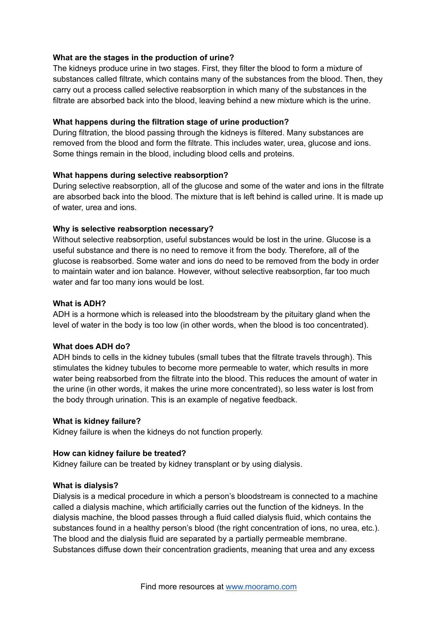#### **What are the stages in the production of urine?**

The kidneys produce urine in two stages. First, they filter the blood to form a mixture of substances called filtrate, which contains many of the substances from the blood. Then, they carry out a process called selective reabsorption in which many of the substances in the filtrate are absorbed back into the blood, leaving behind a new mixture which is the urine.

#### **What happens during the filtration stage of urine production?**

During filtration, the blood passing through the kidneys is filtered. Many substances are removed from the blood and form the filtrate. This includes water, urea, glucose and ions. Some things remain in the blood, including blood cells and proteins.

#### **What happens during selective reabsorption?**

During selective reabsorption, all of the glucose and some of the water and ions in the filtrate are absorbed back into the blood. The mixture that is left behind is called urine. It is made up of water, urea and ions.

#### **Why is selective reabsorption necessary?**

Without selective reabsorption, useful substances would be lost in the urine. Glucose is a useful substance and there is no need to remove it from the body. Therefore, all of the glucose is reabsorbed. Some water and ions do need to be removed from the body in order to maintain water and ion balance. However, without selective reabsorption, far too much water and far too many ions would be lost.

#### **What is ADH?**

ADH is a hormone which is released into the bloodstream by the pituitary gland when the level of water in the body is too low (in other words, when the blood is too concentrated).

#### **What does ADH do?**

ADH binds to cells in the kidney tubules (small tubes that the filtrate travels through). This stimulates the kidney tubules to become more permeable to water, which results in more water being reabsorbed from the filtrate into the blood. This reduces the amount of water in the urine (in other words, it makes the urine more concentrated), so less water is lost from the body through urination. This is an example of negative feedback.

#### **What is kidney failure?**

Kidney failure is when the kidneys do not function properly.

#### **How can kidney failure be treated?**

Kidney failure can be treated by kidney transplant or by using dialysis.

#### **What is dialysis?**

Dialysis is a medical procedure in which a person's bloodstream is connected to a machine called a dialysis machine, which artificially carries out the function of the kidneys. In the dialysis machine, the blood passes through a fluid called dialysis fluid, which contains the substances found in a healthy person's blood (the right concentration of ions, no urea, etc.). The blood and the dialysis fluid are separated by a partially permeable membrane. Substances diffuse down their concentration gradients, meaning that urea and any excess